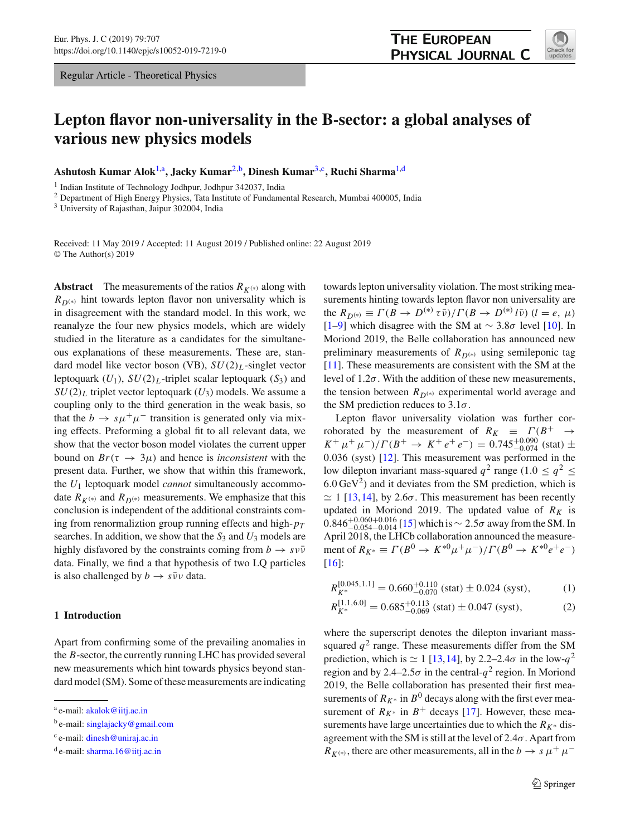Regular Article - Theoretical Physics



# **Lepton flavor non-universality in the B-sector: a global analyses of various new physics models**

**Ashutosh Kumar Alok**[1,](#page-0-0)a **, Jacky Kumar**[2,](#page-0-0)b **, Dinesh Kumar**[3,](#page-0-1)c **, Ruchi Sharma**[1,](#page-0-0)d

<sup>1</sup> Indian Institute of Technology Jodhpur, Jodhpur 342037, India

<sup>2</sup> Department of High Energy Physics, Tata Institute of Fundamental Research, Mumbai 400005, India

<sup>3</sup> University of Rajasthan, Jaipur 302004, India

Received: 11 May 2019 / Accepted: 11 August 2019 / Published online: 22 August 2019 © The Author(s) 2019

**Abstract** The measurements of the ratios  $R_{K^{(*)}}$  along with  $R_{D(*)}$  hint towards lepton flavor non universality which is in disagreement with the standard model. In this work, we reanalyze the four new physics models, which are widely studied in the literature as a candidates for the simultaneous explanations of these measurements. These are, standard model like vector boson (VB), *SU*(2)*<sup>L</sup>* -singlet vector leptoquark  $(U_1)$ ,  $SU(2)_L$ -triplet scalar leptoquark  $(S_3)$  and  $SU(2)_L$  triplet vector leptoquark  $(U_3)$  models. We assume a coupling only to the third generation in the weak basis, so that the  $b \to s\mu^+\mu^-$  transition is generated only via mixing effects. Preforming a global fit to all relevant data, we show that the vector boson model violates the current upper bound on  $Br(\tau \rightarrow 3\mu)$  and hence is *inconsistent* with the present data. Further, we show that within this framework, the *U*<sup>1</sup> leptoquark model *cannot* simultaneously accommodate  $R_{K^{(*)}}$  and  $R_{D^{(*)}}$  measurements. We emphasize that this conclusion is independent of the additional constraints coming from renormaliztion group running effects and high-*p<sup>T</sup>* searches. In addition, we show that the  $S_3$  and  $U_3$  models are highly disfavored by the constraints coming from  $b \rightarrow s \nu \bar{\nu}$ data. Finally, we find a that hypothesis of two LQ particles is also challenged by  $b \rightarrow s \bar{\nu} \nu$  data.

## **1 Introduction**

Apart from confirming some of the prevailing anomalies in the *B*-sector, the currently running LHC has provided several new measurements which hint towards physics beyond standard model (SM). Some of these measurements are indicating <span id="page-0-0"></span>towards lepton universality violation. The most striking measurements hinting towards lepton flavor non universality are the  $R_{D^{(*)}} \equiv \Gamma(B \to D^{(*)} \tau \bar{\nu}) / \Gamma(B \to D^{(*)} \ell \bar{\nu}) \ (l = e, \ \mu)$ [\[1](#page-8-0)[–9](#page-8-1)] which disagree with the SM at ∼ 3.8σ level [\[10](#page-8-2)]. In Moriond 2019, the Belle collaboration has announced new preliminary measurements of  $R_{D(*)}$  using semileponic tag [\[11](#page-8-3)]. These measurements are consistent with the SM at the level of  $1.2\sigma$ . With the addition of these new measurements, the tension between  $R_{D^{(*)}}$  experimental world average and the SM prediction reduces to  $3.1\sigma$ .

**THE EUROPEAN** 

<span id="page-0-1"></span>PHYSICAL JOURNAL C

Lepton flavor universality violation was further corroborated by the measurement of  $R_K \equiv \Gamma(B^+ \rightarrow$  $K^+ \mu^+ \mu^-)/\Gamma(B^+ \to K^+ e^+ e^-) = 0.745^{+0.090}_{-0.074}$  (stat) ± 0.036 (syst) [\[12\]](#page-8-4). This measurement was performed in the low dilepton invariant mass-squared  $q^2$  range (1.0  $\leq q^2 \leq$  $6.0 \,\text{GeV}^2$ ) and it deviates from the SM prediction, which is  $\simeq$  1 [\[13,](#page-8-5)[14\]](#page-8-6), by 2.6 $\sigma$ . This measurement has been recently updated in Moriond 2019. The updated value of  $R_K$  is  $0.846^{+0.060+0.016}_{-0.054-0.014}$  [\[15\]](#page-8-7) which is ∼ 2.5σ away from the SM. In April 2018, the LHCb collaboration announced the measurement of  $R_{K^*} \equiv \Gamma(B^0 \to K^{*0} \mu^+ \mu^-)/\Gamma(B^0 \to K^{*0} e^+ e^-)$ [\[16](#page-8-8)]:

$$
R_{K^*}^{[0.045,1.1]} = 0.660_{-0.070}^{+0.110} \text{ (stat)} \pm 0.024 \text{ (syst)}, \tag{1}
$$

$$
R_{K^*}^{[1.1,6.0]} = 0.685^{+0.113}_{-0.069} \text{ (stat)} \pm 0.047 \text{ (syst)},\tag{2}
$$

where the superscript denotes the dilepton invariant masssquared  $q^2$  range. These measurements differ from the SM prediction, which is  $\simeq 1$  [\[13,](#page-8-5)[14\]](#page-8-6), by 2.2–2.4 $\sigma$  in the low- $q^2$ region and by 2.4–2.5 $\sigma$  in the central- $q^2$  region. In Moriond 2019, the Belle collaboration has presented their first measurements of  $R_{K^*}$  in  $B^0$  decays along with the first ever measurement of  $R_{K^*}$  in  $B^+$  decays [\[17](#page-8-9)]. However, these measurements have large uncertainties due to which the  $R_{K^*}$  disagreement with the SM is still at the level of  $2.4\sigma$ . Apart from  $R_{K^{(*)}}$ , there are other measurements, all in the *b*  $\rightarrow s \mu^{+} \mu^{-}$ 

<sup>&</sup>lt;sup>a</sup> e-mail: [akalok@iitj.ac.in](mailto:akalok@iitj.ac.in)

<sup>&</sup>lt;sup>b</sup> e-mail: [singlajacky@gmail.com](mailto:singlajacky@gmail.com)

<sup>&</sup>lt;sup>c</sup> e-mail: [dinesh@uniraj.ac.in](mailto:dinesh@uniraj.ac.in)

<sup>&</sup>lt;sup>d</sup> e-mail: [sharma.16@iitj.ac.in](mailto:sharma.16@iitj.ac.in)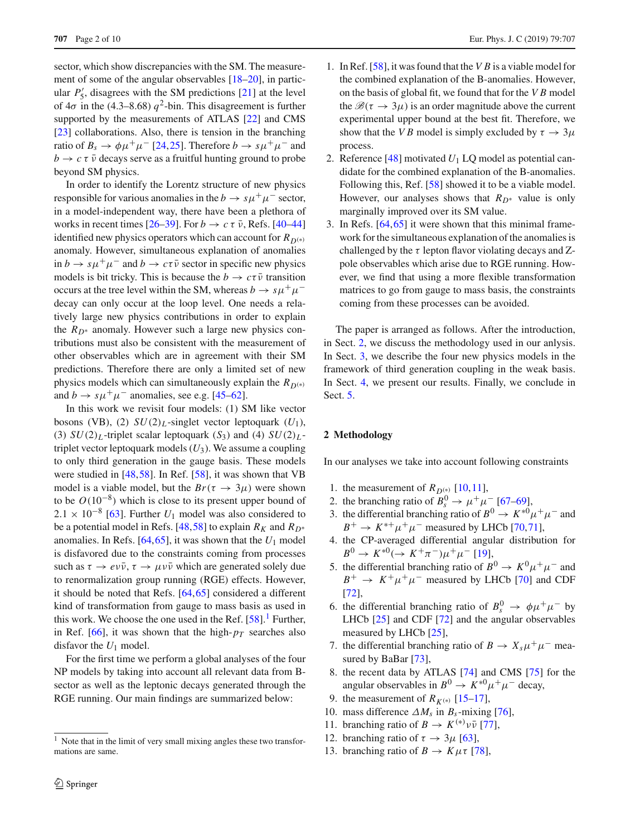sector, which show discrepancies with the SM. The measurement of some of the angular observables [\[18](#page-8-10)[–20](#page-8-11)], in particular  $P'_5$ , disagrees with the SM predictions [\[21\]](#page-8-12) at the level of  $4\sigma$  in the (4.3–8.68)  $q^2$ -bin. This disagreement is further supported by the measurements of ATLAS [\[22](#page-8-13)] and CMS [\[23](#page-8-14)] collaborations. Also, there is tension in the branching ratio of  $B_s \to \phi \mu^+ \mu^-$  [\[24](#page-8-15),[25\]](#page-8-16). Therefore  $b \to s \mu^+ \mu^-$  and  $b \rightarrow c \tau \bar{\nu}$  decays serve as a fruitful hunting ground to probe beyond SM physics.

In order to identify the Lorentz structure of new physics responsible for various anomalies in the  $b \to s\mu^+\mu^-$  sector, in a model-independent way, there have been a plethora of works in recent times  $[26-39]$ . For  $b \to c \tau \bar{\nu}$ , Refs. [\[40](#page-8-19)[–44\]](#page-8-20) identified new physics operators which can account for  $R_{D(*)}$ anomaly. However, simultaneous explanation of anomalies  $\sin b \to s \mu^+ \mu^-$  and  $b \to c \tau \bar{\nu}$  sector in specific new physics models is bit tricky. This is because the  $b \to c\tau\bar{\nu}$  transition occurs at the tree level within the SM, whereas  $b \to s\mu^+\mu^$ decay can only occur at the loop level. One needs a relatively large new physics contributions in order to explain the  $R_{D^*}$  anomaly. However such a large new physics contributions must also be consistent with the measurement of other observables which are in agreement with their SM predictions. Therefore there are only a limited set of new physics models which can simultaneously explain the  $R_{D(*)}$ and  $b \to s\mu^+\mu^-$  anomalies, see e.g. [\[45](#page-8-21)[–62\]](#page-9-0).

In this work we revisit four models: (1) SM like vector bosons (VB), (2)  $SU(2)_L$ -singlet vector leptoquark ( $U_1$ ), (3)  $SU(2)_L$ -triplet scalar leptoquark  $(S_3)$  and (4)  $SU(2)_L$ triplet vector leptoquark models  $(U_3)$ . We assume a coupling to only third generation in the gauge basis. These models were studied in [\[48](#page-8-22),[58\]](#page-8-23). In Ref. [\[58](#page-8-23)], it was shown that VB model is a viable model, but the  $Br(\tau \rightarrow 3\mu)$  were shown to be *O*(10−<sup>8</sup> ) which is close to its present upper bound of  $2.1 \times 10^{-8}$  [\[63\]](#page-9-1). Further *U*<sub>1</sub> model was also considered to be a potential model in Refs. [\[48](#page-8-22)[,58](#page-8-23)] to explain  $R_K$  and  $R_{D^*}$ anomalies. In Refs.  $[64, 65]$  $[64, 65]$ , it was shown that the  $U_1$  model is disfavored due to the constraints coming from processes such as  $\tau \to e \nu \bar{\nu}, \tau \to \mu \nu \bar{\nu}$  which are generated solely due to renormalization group running (RGE) effects. However, it should be noted that Refs. [\[64](#page-9-2)[,65](#page-9-3)] considered a different kind of transformation from gauge to mass basis as used in this work. We choose the one used in the Ref.  $[58]$  $[58]$ .<sup>[1](#page-1-0)</sup> Further, in Ref. [\[66](#page-9-4)], it was shown that the high- $p_T$  searches also disfavor the *U*<sup>1</sup> model.

For the first time we perform a global analyses of the four NP models by taking into account all relevant data from Bsector as well as the leptonic decays generated through the RGE running. Our main findings are summarized below:

- 1. In Ref. [\[58\]](#page-8-23), it was found that the *V B* is a viable model for the combined explanation of the B-anomalies. However, on the basis of global fit, we found that for the *V B* model the  $\mathcal{B}(\tau \to 3\mu)$  is an order magnitude above the current experimental upper bound at the best fit. Therefore, we show that the *VB* model is simply excluded by  $\tau \to 3\mu$ process.
- 2. Reference [\[48\]](#page-8-22) motivated *U*<sup>1</sup> LQ model as potential candidate for the combined explanation of the B-anomalies. Following this, Ref. [\[58\]](#page-8-23) showed it to be a viable model. However, our analyses shows that  $R_{D^*}$  value is only marginally improved over its SM value.
- 3. In Refs. [\[64](#page-9-2)[,65](#page-9-3)] it were shown that this minimal framework for the simultaneous explanation of the anomalies is challenged by the  $\tau$  lepton flavor violating decays and Zpole observables which arise due to RGE running. However, we find that using a more flexible transformation matrices to go from gauge to mass basis, the constraints coming from these processes can be avoided.

The paper is arranged as follows. After the introduction, in Sect. [2,](#page-1-1) we discuss the methodology used in our anlysis. In Sect. [3,](#page-2-0) we describe the four new physics models in the framework of third generation coupling in the weak basis. In Sect. [4,](#page-5-0) we present our results. Finally, we conclude in Sect. [5.](#page-7-0)

#### <span id="page-1-1"></span>**2 Methodology**

In our analyses we take into account following constraints

- 1. the measurement of  $R_{D^{(*)}}$  [\[10](#page-8-2)[,11](#page-8-3)],
- 2. the branching ratio of  $B_s^0 \rightarrow \mu^+ \mu^-$  [\[67](#page-9-5)[–69](#page-9-6)],
- 3. the differential branching ratio of  $B^0 \to K^{*0} \mu^+ \mu^-$  and  $B^+ \to K^{*+} \mu^+ \mu^-$  measured by LHCb [\[70](#page-9-7)[,71](#page-9-8)],
- 4. the CP-averaged differential angular distribution for  $B^0 \to K^{*0} (\to K^+\pi^-)\mu^+\mu^-$  [\[19](#page-8-24)],
- 5. the differential branching ratio of  $B^0 \to K^0 \mu^+ \mu^-$  and  $B^+ \to K^+ \mu^+ \mu^-$  measured by LHCb [\[70](#page-9-7)] and CDF [\[72](#page-9-9)],
- 6. the differential branching ratio of  $B_s^0 \rightarrow \phi \mu^+ \mu^-$  by LHCb [\[25](#page-8-16)] and CDF [\[72](#page-9-9)] and the angular observables measured by LHCb [\[25\]](#page-8-16),
- 7. the differential branching ratio of  $B \to X_s \mu^+ \mu^-$  measured by BaBar [\[73\]](#page-9-10),
- 8. the recent data by ATLAS [\[74](#page-9-11)] and CMS [\[75](#page-9-12)] for the angular observables in  $B^0 \to K^{*0} \mu^+ \mu^-$  decay,
- 9. the measurement of  $R_{K^{(*)}}$  [\[15](#page-8-7)[–17\]](#page-8-9),
- 10. mass difference  $\Delta M_s$  in  $B_s$ -mixing [\[76\]](#page-9-13),
- 11. branching ratio of  $B \to K^{(*)} \nu \bar{\nu}$  [\[77\]](#page-9-14),
- 12. branching ratio of  $\tau \rightarrow 3\mu$  [\[63\]](#page-9-1),
- 13. branching ratio of  $B \to K \mu \tau$  [\[78\]](#page-9-15),

<span id="page-1-0"></span><sup>&</sup>lt;sup>1</sup> Note that in the limit of very small mixing angles these two transformations are same.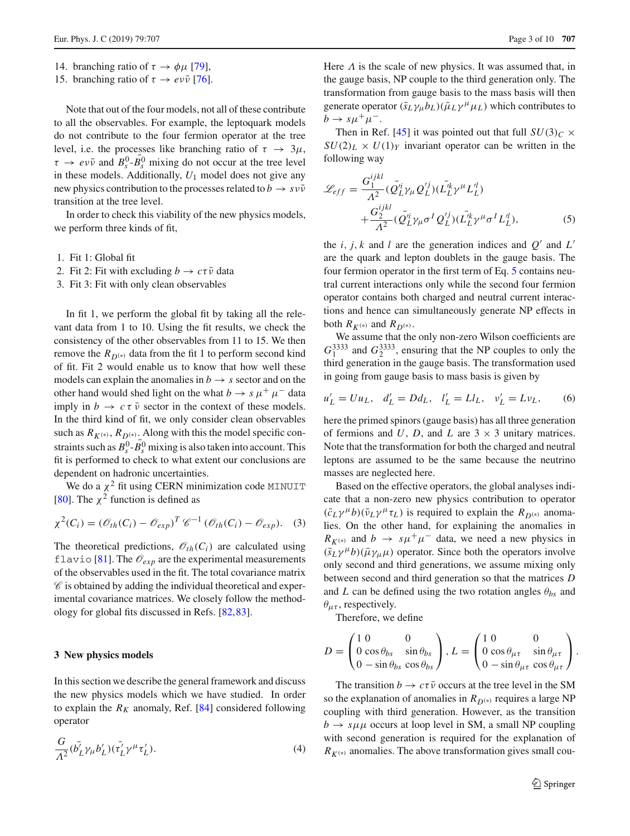- 14. branching ratio of  $\tau \to \phi \mu$  [\[79\]](#page-9-16),
- 15. branching ratio of  $\tau \to e \nu \bar{\nu}$  [\[76\]](#page-9-13).

Note that out of the four models, not all of these contribute to all the observables. For example, the leptoquark models do not contribute to the four fermion operator at the tree level, i.e. the processes like branching ratio of  $\tau \to 3\mu$ ,  $\tau \rightarrow e \nu \bar{\nu}$  and  $B_s^0$ - $\bar{B}_s^0$  mixing do not occur at the tree level in these models. Additionally, *U*<sup>1</sup> model does not give any new physics contribution to the processes related to  $b \rightarrow s \nu \bar{\nu}$ transition at the tree level.

In order to check this viability of the new physics models, we perform three kinds of fit,

- 1. Fit 1: Global fit
- 2. Fit 2: Fit with excluding  $b \to c\tau\bar{\nu}$  data
- 3. Fit 3: Fit with only clean observables

In fit 1, we perform the global fit by taking all the relevant data from 1 to 10. Using the fit results, we check the consistency of the other observables from 11 to 15. We then remove the  $R_{D(*)}$  data from the fit 1 to perform second kind of fit. Fit 2 would enable us to know that how well these models can explain the anomalies in  $b \rightarrow s$  sector and on the other hand would shed light on the what  $b \to s \mu^+ \mu^-$  data imply in  $b \to c \tau \bar{\nu}$  sector in the context of these models. In the third kind of fit, we only consider clean observables such as  $R_{K^{(*)}}$ ,  $R_{D^{(*)}}$ . Along with this the model specific constraints such as  $B_s^0 - B_s^0$  mixing is also taken into account. This fit is performed to check to what extent our conclusions are dependent on hadronic uncertainties.

We do a  $\chi^2$  fit using CERN minimization code MINUIT [\[80](#page-9-17)]. The  $\chi^2$  function is defined as

$$
\chi^2(C_i) = (\mathscr{O}_{th}(C_i) - \mathscr{O}_{exp})^T \mathscr{C}^{-1} (\mathscr{O}_{th}(C_i) - \mathscr{O}_{exp}).
$$
 (3)

The theoretical predictions,  $\mathcal{O}_{th}(C_i)$  are calculated using flavio [\[81](#page-9-18)]. The  $\mathcal{O}_{exp}$  are the experimental measurements of the observables used in the fit. The total covariance matrix  $\mathscr C$  is obtained by adding the individual theoretical and experimental covariance matrices. We closely follow the methodology for global fits discussed in Refs. [\[82](#page-9-19)[,83](#page-9-20)].

#### <span id="page-2-0"></span>**3 New physics models**

In this section we describe the general framework and discuss the new physics models which we have studied. In order to explain the  $R_K$  anomaly, Ref. [\[84](#page-9-21)] considered following operator

$$
\frac{G}{\Lambda^2} (\bar{b}_L^{\dagger} \gamma_\mu b_L^{\prime}) (\bar{\tau_L^{\prime}} \gamma^\mu \tau_L^{\prime}). \tag{4}
$$

Here  $\Lambda$  is the scale of new physics. It was assumed that, in the gauge basis, NP couple to the third generation only. The transformation from gauge basis to the mass basis will then generate operator  $(\bar{s}_L \gamma_\mu b_L)(\bar{\mu}_L \gamma^\mu \mu_L)$  which contributes to  $b \to s \mu^+ \mu^-$ .

Then in Ref. [\[45\]](#page-8-21) it was pointed out that full  $SU(3)_C \times$  $SU(2)_L \times U(1)_Y$  invariant operator can be written in the following way

<span id="page-2-1"></span>
$$
\mathcal{L}_{eff} = \frac{G_1^{ijkl}}{\Lambda^2} (\bar{Q}_L^{i} \gamma_\mu Q_L^{\prime j}) (\bar{L}_L^{i} \gamma^\mu L_L^{\prime l}) + \frac{G_2^{ijkl}}{\Lambda^2} (\bar{Q}_L^{i} \gamma_\mu \sigma^I Q_L^{\prime j}) (\bar{L}_L^{i} \gamma^\mu \sigma^I L_L^{\prime l}),
$$
\n(5)

the *i*, *j*, *k* and *l* are the generation indices and  $Q'$  and  $L'$ are the quark and lepton doublets in the gauge basis. The four fermion operator in the first term of Eq. [5](#page-2-1) contains neutral current interactions only while the second four fermion operator contains both charged and neutral current interactions and hence can simultaneously generate NP effects in both  $R_{K^{(*)}}$  and  $R_{D^{(*)}}$ .

We assume that the only non-zero Wilson coefficients are  $G_1^{3333}$  and  $G_2^{3333}$ , ensuring that the NP couples to only the third generation in the gauge basis. The transformation used in going from gauge basis to mass basis is given by

$$
u'_L = Uu_L, \quad d'_L = Dd_L, \quad l'_L = Ll_L, \quad v'_L = Lv_L,\tag{6}
$$

here the primed spinors (gauge basis) has all three generation of fermions and *U*, *D*, and *L* are  $3 \times 3$  unitary matrices. Note that the transformation for both the charged and neutral leptons are assumed to be the same because the neutrino masses are neglected here.

Based on the effective operators, the global analyses indicate that a non-zero new physics contribution to operator  $(\bar{c}_L \gamma^{\mu} b)(\bar{\nu}_L \gamma^{\mu} \tau_L)$  is required to explain the  $R_{D^{(*)}}$  anomalies. On the other hand, for explaining the anomalies in  $R_{K^{(*)}}$  and *b*  $\rightarrow$   $s\mu^{+}\mu^{-}$  data, we need a new physics in  $(\bar{s}_L \gamma^{\mu} b)(\bar{\mu} \gamma_{\mu} \mu)$  operator. Since both the operators involve only second and third generations, we assume mixing only between second and third generation so that the matrices *D* and *L* can be defined using the two rotation angles  $\theta_{bs}$  and  $\theta_{\mu\tau}$ , respectively.

Therefore, we define

$$
D = \begin{pmatrix} 1 & 0 & 0 \\ 0 & \cos \theta_{bs} & \sin \theta_{bs} \\ 0 & -\sin \theta_{bs} & \cos \theta_{bs} \end{pmatrix}, L = \begin{pmatrix} 1 & 0 & 0 \\ 0 & \cos \theta_{\mu\tau} & \sin \theta_{\mu\tau} \\ 0 & -\sin \theta_{\mu\tau} & \cos \theta_{\mu\tau} \end{pmatrix}.
$$

The transition  $b \to c\tau\bar{\nu}$  occurs at the tree level in the SM so the explanation of anomalies in  $R_{D(*)}$  requires a large NP coupling with third generation. However, as the transition  $b \rightarrow s \mu \mu$  occurs at loop level in SM, a small NP coupling with second generation is required for the explanation of  $R_{K^{(*)}}$  anomalies. The above transformation gives small cou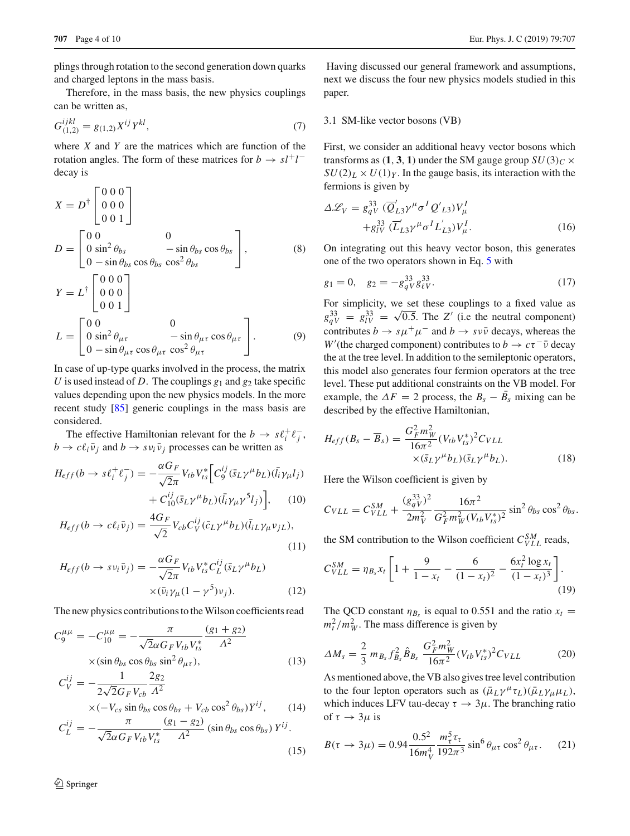plings through rotation to the second generation down quarks and charged leptons in the mass basis.

Therefore, in the mass basis, the new physics couplings can be written as,

$$
G_{(1,2)}^{ijkl} = g_{(1,2)} X^{ij} Y^{kl},\tag{7}
$$

where *X* and *Y* are the matrices which are function of the rotation angles. The form of these matrices for  $b \to s l^+ l^$ decay is

$$
X = D^{\dagger} \begin{bmatrix} 0 & 0 & 0 \\ 0 & 0 & 0 \\ 0 & 0 & 1 \end{bmatrix}
$$
  
\n
$$
D = \begin{bmatrix} 0 & 0 & 0 \\ 0 & \sin^2 \theta_{bs} & -\sin \theta_{bs} \cos \theta_{bs} \\ 0 & -\sin \theta_{bs} \cos^2 \theta_{bs} & \cos^2 \theta_{bs} \end{bmatrix},
$$
\n(8)  
\n
$$
Y = L^{\dagger} \begin{bmatrix} 0 & 0 & 0 \\ 0 & 0 & 0 \\ 0 & 0 & 1 \end{bmatrix}
$$

$$
L = \begin{bmatrix} 0 & 0 \\ 0 & \sin^2 \theta_{\mu\tau} & -\sin \theta_{\mu\tau} \cos \theta_{\mu\tau} \\ 0 & -\sin \theta_{\mu\tau} \cos \theta_{\mu\tau} & \cos^2 \theta_{\mu\tau} \end{bmatrix}.
$$
 (9)

In case of up-type quarks involved in the process, the matrix *U* is used instead of *D*. The couplings  $g_1$  and  $g_2$  take specific values depending upon the new physics models. In the more recent study [\[85](#page-9-22)] generic couplings in the mass basis are considered.

The effective Hamiltonian relevant for the  $b \to s \ell_i^+ \ell_j^-$ ,  $b \rightarrow c \ell_i \bar{\nu}_i$  and  $b \rightarrow s \nu_i \bar{\nu}_i$  processes can be written as

$$
H_{eff}(b \to s\ell_i^+ \ell_j^-) = -\frac{\alpha G_F}{\sqrt{2}\pi} V_{tb} V_{ts}^* \Big[ C_9^{ij} (\bar{s}_L \gamma^\mu b_L) (\bar{l}_i \gamma_\mu l_j) + C_{10}^{ij} (\bar{s}_L \gamma^\mu b_L) (\bar{l}_i \gamma_\mu \gamma^5 l_j) \Big], \qquad (10)
$$
  

$$
H_{eff}(b \to c\ell_i \bar{\nu}_j) = \frac{4G_F}{\sqrt{2}} V_{cb} C_V^{ij} (\bar{c}_L \gamma^\mu b_L) (\bar{l}_i L \gamma_\mu \nu_j L), \qquad (11)
$$

$$
H_{eff}(b \to s \nu_i \bar{\nu}_j) = -\frac{\alpha G_F}{\sqrt{2\pi}} V_{tb} V_{ts}^* C_L^{ij} (\bar{s}_L \gamma^\mu b_L)
$$
  
 
$$
\times (\bar{\nu}_i \gamma_\mu (1 - \gamma^5) \nu_j).
$$
 (12)

The new physics contributions to the Wilson coefficients read

<span id="page-3-0"></span>
$$
C_9^{\mu\mu} = -C_{10}^{\mu\mu} = -\frac{\pi}{\sqrt{2}\alpha G_F V_{tb} V_{ts}^*} \frac{(g_1 + g_2)}{\Lambda^2}
$$

$$
\times (\sin \theta_{bs} \cos \theta_{bs} \sin^2 \theta_{\mu\tau}), \qquad (13)
$$

$$
C_V^{ij} = -\frac{1}{2\sqrt{2}G_F V_{cb}} \frac{2g_2}{\Lambda^2}
$$
  
× $(-V_{cs} \sin \theta_{bs} \cos \theta_{bs} + V_{cb} \cos^2 \theta_{bs})Y^{ij}$ , (14)

$$
C_L^{ij} = -\frac{\pi}{\sqrt{2\alpha G_F V_{tb} V_{ts}^*}} \frac{(g_1 - g_2)}{\Lambda^2} \left( \sin \theta_{bs} \cos \theta_{bs} \right) Y^{ij}.
$$
\n(15)

Having discussed our general framework and assumptions, next we discuss the four new physics models studied in this paper.

## 3.1 SM-like vector bosons (VB)

First, we consider an additional heavy vector bosons which transforms as  $(1, 3, 1)$  under the SM gauge group  $SU(3)_C \times$  $SU(2)_L \times U(1)_Y$ . In the gauge basis, its interaction with the fermions is given by

$$
\Delta \mathcal{L}_V = g_{qV}^{33} \left( \overline{Q}'_{L3} \gamma^\mu \sigma^I Q'_{L3} \right) V^I_\mu
$$
  
 
$$
+ g_{lV}^{33} \left( \overline{L}'_{L3} \gamma^\mu \sigma^I L'_{L3} \right) V^I_\mu.
$$
 (16)

On integrating out this heavy vector boson, this generates one of the two operators shown in Eq. [5](#page-2-1) with

$$
g_1 = 0, \quad g_2 = -g_q^{33} g_{\ell V}^{33}.
$$
 (17)

For simplicity, we set these couplings to a fixed value as  $g_{qV}^{33} = g_{lV}^{33} =$  $\sqrt{0.5}$ . The *Z'* (i.e the neutral component) contributes  $b \to s\mu^+\mu^-$  and  $b \to s\nu\bar{\nu}$  decays, whereas the *W*'(the charged component) contributes to *b*  $\rightarrow c\tau^{-} \bar{\nu}$  decay the at the tree level. In addition to the semileptonic operators, this model also generates four fermion operators at the tree level. These put additional constraints on the VB model. For example, the  $\Delta F = 2$  process, the  $B_s - B_s$  mixing can be described by the effective Hamiltonian,

$$
H_{eff}(B_s - \overline{B}_s) = \frac{G_F^2 m_W^2}{16\pi^2} (V_{tb} V_{ts}^*)^2 C_{VLL}
$$
  
×( $\bar{s}_L \gamma^\mu b_L$ )( $\bar{s}_L \gamma^\mu b_L$ ). (18)

Here the Wilson coefficient is given by

$$
C_{VLL} = C_{VLL}^{SM} + \frac{(g_{qV}^{33})^2}{2m_V^2} \frac{16\pi^2}{G_F^2 m_W^2 (V_{tb} V_{ts}^*)^2} \sin^2 \theta_{bs} \cos^2 \theta_{bs}.
$$

the SM contribution to the Wilson coefficient  $C_{VLL}^{SM}$  reads,

$$
C_{VLL}^{SM} = \eta_{B_s} x_t \left[ 1 + \frac{9}{1 - x_t} - \frac{6}{(1 - x_t)^2} - \frac{6x_t^2 \log x_t}{(1 - x_t)^3} \right].
$$
\n(19)

The QCD constant  $\eta_{B_s}$  is equal to 0.551 and the ratio  $x_t =$  $m_t^2/m_W^2$ . The mass difference is given by

$$
\Delta M_s = \frac{2}{3} m_{B_s} f_{B_s}^2 \hat{B}_{B_s} \frac{G_F^2 m_W^2}{16\pi^2} (V_{tb} V_{ts}^*)^2 C_{VLL}
$$
(20)

As mentioned above, the VB also gives tree level contribution to the four lepton operators such as  $(\bar{\mu}_L \gamma^{\mu} \tau_L)(\bar{\mu}_L \gamma_{\mu} \mu_L)$ , which induces LFV tau-decay  $\tau \to 3\mu$ . The branching ratio of  $\tau \to 3\mu$  is

$$
B(\tau \to 3\mu) = 0.94 \frac{0.5^2}{16m_V^4} \frac{m_\tau^5 \tau_\tau}{192\pi^3} \sin^6 \theta_{\mu\tau} \cos^2 \theta_{\mu\tau}.
$$
 (21)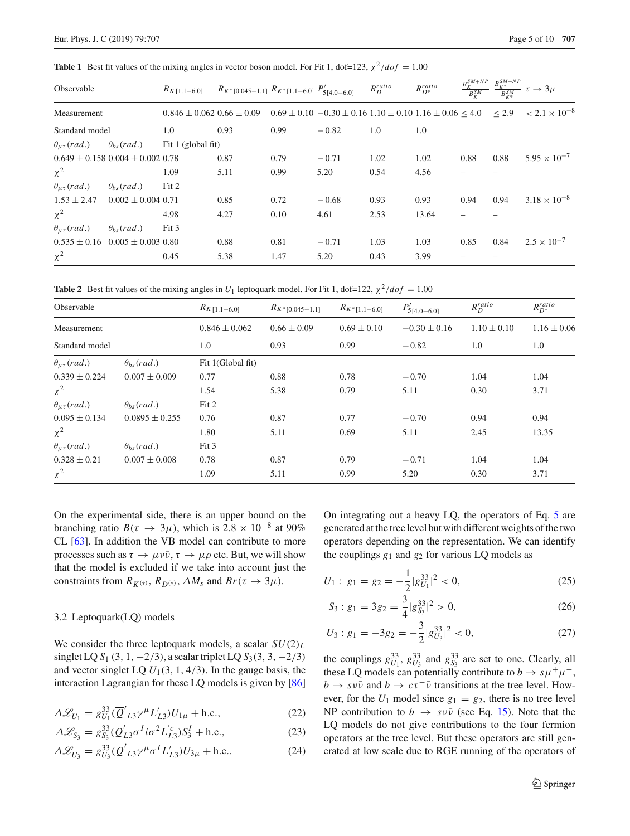<span id="page-4-0"></span>**Table 1** Best fit values of the mixing angles in vector boson model. For Fit 1, dof=123,  $\chi^2/dof = 1.00$ 

| Observable                |                                          | $R_{K[1,1-6,0]}$                                                                                                   | $R_{K^*[0.045-1.1]} R_{K^*[1.1-6.0]} P'_{5[4,0-6.0]}$ |      |         | $R_D^{ratio}$ | $R_{D^*}^{ratio}$ |      |      | $\frac{B_K^{SM+NP}}{B_K^{SM}} \xrightarrow{B_K^{SM+NP}} \frac{B_{K^*}^{SM+NP}}{B_{K^*}^{SM}} \tau \rightarrow 3\mu$ |
|---------------------------|------------------------------------------|--------------------------------------------------------------------------------------------------------------------|-------------------------------------------------------|------|---------|---------------|-------------------|------|------|---------------------------------------------------------------------------------------------------------------------|
| Measurement               |                                          | $0.846 \pm 0.062$ $0.66 \pm 0.09$ $0.69 \pm 0.10$ $-0.30 \pm 0.16$ $1.10 \pm 0.10$ $1.16 \pm 0.06$ $< 4.0$ $< 2.9$ |                                                       |      |         |               |                   |      |      | $< 2.1 \times 10^{-8}$                                                                                              |
| Standard model            |                                          | 1.0                                                                                                                | 0.93                                                  | 0.99 | $-0.82$ | 1.0           | 1.0               |      |      |                                                                                                                     |
| $\theta_{\mu\tau}$ (rad.) | $\theta_{bs}(rad.)$                      | Fit $1$ (global fit)                                                                                               |                                                       |      |         |               |                   |      |      |                                                                                                                     |
|                           | $0.649 \pm 0.158$ $0.004 \pm 0.002$ 0.78 |                                                                                                                    | 0.87                                                  | 0.79 | $-0.71$ | 1.02          | 1.02              | 0.88 | 0.88 | $5.95 \times 10^{-7}$                                                                                               |
| $\chi^2$                  |                                          | 1.09                                                                                                               | 5.11                                                  | 0.99 | 5.20    | 0.54          | 4.56              |      |      |                                                                                                                     |
| $\theta_{\mu\tau}$ (rad.) | $\theta_{hs}(rad.)$                      | Fit 2                                                                                                              |                                                       |      |         |               |                   |      |      |                                                                                                                     |
| $1.53 \pm 2.47$           | $0.002 \pm 0.004$ 0.71                   |                                                                                                                    | 0.85                                                  | 0.72 | $-0.68$ | 0.93          | 0.93              | 0.94 | 0.94 | $3.18 \times 10^{-8}$                                                                                               |
| $\chi^2$                  |                                          | 4.98                                                                                                               | 4.27                                                  | 0.10 | 4.61    | 2.53          | 13.64             |      |      |                                                                                                                     |
| $\theta_{\mu\tau}$ (rad.) | $\theta_{bs}(rad.)$                      | Fit 3                                                                                                              |                                                       |      |         |               |                   |      |      |                                                                                                                     |
| $0.535 \pm 0.16$          | $0.005 \pm 0.003$ 0.80                   |                                                                                                                    | 0.88                                                  | 0.81 | $-0.71$ | 1.03          | 1.03              | 0.85 | 0.84 | $2.5 \times 10^{-7}$                                                                                                |
| $\chi^2$                  |                                          | 0.45                                                                                                               | 5.38                                                  | 1.47 | 5.20    | 0.43          | 3.99              |      |      |                                                                                                                     |

<span id="page-4-1"></span>**Table 2** Best fit values of the mixing angles in  $U_1$  leptoquark model. For Fit 1, dof=122,  $\chi^2/dof = 1.00$ 

| Observable                |                      | $R_{K[1.1-6.0]}$  | $R_{K^*[0.045-1.1]}$ | $R_{K^*[1.1-6.0]}$ | $P'_{5[4.0-6.0]}$ | $R_D^{ratio}$   | $R_{D^*}^{ratio}$ |  |
|---------------------------|----------------------|-------------------|----------------------|--------------------|-------------------|-----------------|-------------------|--|
| Measurement               |                      | $0.846 \pm 0.062$ | $0.66 \pm 0.09$      | $0.69 \pm 0.10$    | $-0.30 \pm 0.16$  | $1.10 \pm 0.10$ | $1.16 \pm 0.06$   |  |
| Standard model            |                      | 1.0               | 0.93                 | 0.99               | $-0.82$           | 1.0             | 1.0               |  |
| $\theta_{\mu\tau}$ (rad.) | $\theta_{bs}(rad.)$  | Fit 1(Global fit) |                      |                    |                   |                 |                   |  |
| $0.339 \pm 0.224$         | $0.007 \pm 0.009$    | 0.77              | 0.88                 | 0.78               | $-0.70$           | 1.04            | 1.04              |  |
| $\chi^2$                  |                      | 1.54              | 5.38                 | 0.79               | 5.11              | 0.30            | 3.71              |  |
| $\theta_{\mu\tau}$ (rad.) | $\theta_{hs}$ (rad.) | Fit 2             |                      |                    |                   |                 |                   |  |
| $0.095 \pm 0.134$         | $0.0895 \pm 0.255$   | 0.76              | 0.87                 | 0.77               | $-0.70$           | 0.94            | 0.94              |  |
| $\chi^2$                  |                      | 1.80              | 5.11                 | 0.69               | 5.11              | 2.45            | 13.35             |  |
| $\theta_{\mu\tau}$ (rad.) | $\theta_{bs}(rad.)$  | Fit 3             |                      |                    |                   |                 |                   |  |
| $0.328 \pm 0.21$          | $0.007 \pm 0.008$    | 0.78              | 0.87                 | 0.79               | $-0.71$           | 1.04            | 1.04              |  |
| $\chi^2$                  |                      | 1.09              | 5.11                 | 0.99               | 5.20              | 0.30            | 3.71              |  |

On the experimental side, there is an upper bound on the branching ratio  $B(\tau \to 3\mu)$ , which is  $2.8 \times 10^{-8}$  at 90% CL [\[63](#page-9-1)]. In addition the VB model can contribute to more processes such as  $\tau \to \mu \nu \bar{\nu}, \tau \to \mu \rho$  etc. But, we will show that the model is excluded if we take into account just the constraints from  $R_{K^{(*)}}$ ,  $R_{D^{(*)}}$ ,  $\Delta M_s$  and  $Br(\tau \rightarrow 3\mu)$ .

#### 3.2 Leptoquark(LQ) models

We consider the three leptoquark models, a scalar *SU*(2)*<sup>L</sup>* singlet LQ *S*<sub>1</sub> (3, 1, −2/3), a scalar triplet LQ *S*<sub>3</sub>(3, 3, −2/3) and vector singlet LQ  $U_1(3, 1, 4/3)$ . In the gauge basis, the interaction Lagrangian for these LQ models is given by [\[86\]](#page-9-23)

$$
\Delta \mathcal{L}_{U_1} = g_{U_1}^{33} (\overline{Q}'_{L3} \gamma^{\mu} L'_{L3}) U_{1\mu} + \text{h.c.}, \qquad (22)
$$

$$
\Delta \mathcal{L}_{S_3} = g_{S_3}^{33} (\overline{Q}_{L3}' \sigma^I i \sigma^2 L_{L3}'^c) S_3^I + \text{h.c.},
$$
\n(23)

$$
\Delta \mathcal{L}_{U_3} = g_{U_3}^{33}(\overline{Q}'_{L3}\gamma^{\mu}\sigma^I L'_{L3})U_{3\mu} + \text{h.c.}.
$$
 (24)

On integrating out a heavy LQ, the operators of Eq. [5](#page-2-1) are generated at the tree level but with different weights of the two operators depending on the representation. We can identify the couplings  $g_1$  and  $g_2$  for various LQ models as

$$
U_1: g_1 = g_2 = -\frac{1}{2}|g_{U_1}^{33}|^2 < 0,\tag{25}
$$

$$
S_3: g_1 = 3g_2 = \frac{3}{4} |g_{S_3}^{33}|^2 > 0,
$$
 (26)

$$
U_3: g_1 = -3g_2 = -\frac{3}{2}|g_{U_3}^{33}|^2 < 0,\tag{27}
$$

the couplings  $g_{U_1}^{33}$ ,  $g_{U_3}^{33}$  and  $g_{S_3}^{33}$  are set to one. Clearly, all these LQ models can potentially contribute to  $b \to s\mu^+\mu^-$ ,  $b \to s \nu \bar{\nu}$  and  $b \to c \tau^- \bar{\nu}$  transitions at the tree level. However, for the  $U_1$  model since  $g_1 = g_2$ , there is no tree level NP contribution to  $b \rightarrow s \nu \bar{\nu}$  (see Eq. [15\)](#page-3-0). Note that the LQ models do not give contributions to the four fermion operators at the tree level. But these operators are still generated at low scale due to RGE running of the operators of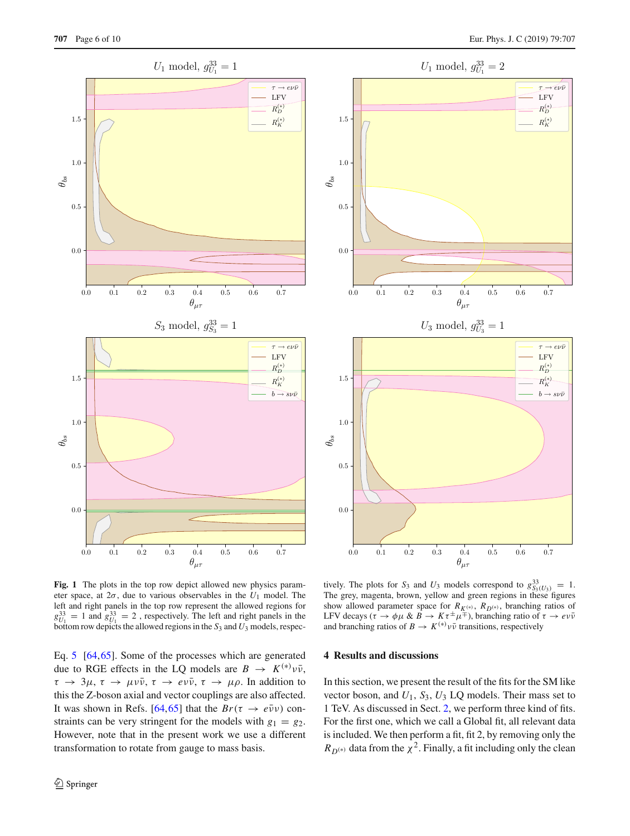



<span id="page-5-1"></span>**Fig. 1** The plots in the top row depict allowed new physics parameter space, at 2σ, due to various observables in the *U*<sup>1</sup> model. The left and right panels in the top row represent the allowed regions for  $g_{U_1}^{33} = 1$  and  $g_{U_1}^{33} = 2$ , respectively. The left and right panels in the bottom row depicts the allowed regions in the  $S_3$  and  $U_3$  models, respec-

Eq. [5](#page-2-1) [\[64](#page-9-2)[,65](#page-9-3)]. Some of the processes which are generated due to RGE effects in the LQ models are  $B \to K^{(*)} \nu \bar{\nu}$ ,  $\tau \to 3\mu$ ,  $\tau \to \mu \nu \bar{\nu}$ ,  $\tau \to e \nu \bar{\nu}$ ,  $\tau \to \mu \rho$ . In addition to this the Z-boson axial and vector couplings are also affected. It was shown in Refs. [\[64](#page-9-2)[,65](#page-9-3)] that the  $Br(\tau \to e\bar{\nu}\nu)$  constraints can be very stringent for the models with  $g_1 = g_2$ . However, note that in the present work we use a different transformation to rotate from gauge to mass basis.

tively. The plots for *S*<sub>3</sub> and *U*<sub>3</sub> models correspond to  $g_{S_3(U_3)}^{33} = 1$ . The grey, magenta, brown, yellow and green regions in these figures show allowed parameter space for  $R_{K^{(*)}}$ ,  $R_{D^{(*)}}$ , branching ratios of LFV decays ( $\tau \to \phi \mu \& B \to K \tau^{\pm} \mu^{\mp}$ ), branching ratio of  $\tau \to e \nu \bar{\nu}$ and branching ratios of  $B \to K^{(*)} \nu \bar{\nu}$  transitions, respectively

# <span id="page-5-0"></span>**4 Results and discussions**

In this section, we present the result of the fits for the SM like vector boson, and *U*1, *S*3, *U*<sup>3</sup> LQ models. Their mass set to 1 TeV. As discussed in Sect. [2,](#page-1-1) we perform three kind of fits. For the first one, which we call a Global fit, all relevant data is included. We then perform a fit, fit 2, by removing only the  $R_{D^{(*)}}$  data from the  $\chi^2$ . Finally, a fit including only the clean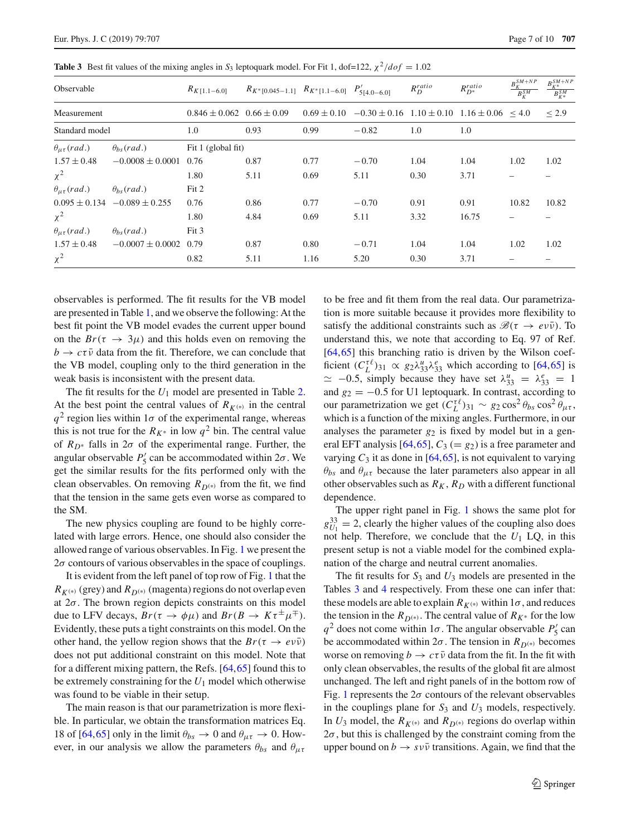| Observable                |                                      | $R_{K[1.1-6.0]}$                  | $R_{K^*[0.045-1.1]}$ $R_{K^*[1.1-6.0]}$ $P'_{5[4.0-6.0]}$ |      |                                                                             | $R_D^{ratio}$ | $R_{D^\ast}^{ratio}$ | $B_K^{SM+NP}$<br>$B_K^{SM}$ | $B_{K^{\ast }}^{SM+NP}$<br>$B_{K^*}^{SM}$ |
|---------------------------|--------------------------------------|-----------------------------------|-----------------------------------------------------------|------|-----------------------------------------------------------------------------|---------------|----------------------|-----------------------------|-------------------------------------------|
| Measurement               |                                      | $0.846 \pm 0.062$ $0.66 \pm 0.09$ |                                                           |      | $0.69 \pm 0.10$ $-0.30 \pm 0.16$ $1.10 \pm 0.10$ $1.16 \pm 0.06$ $\leq 4.0$ |               |                      |                             | $\leq$ 2.9                                |
| Standard model            |                                      | 1.0                               | 0.93                                                      | 0.99 | $-0.82$                                                                     | 1.0           | 1.0                  |                             |                                           |
| $\theta_{\mu\tau}$ (rad.) | $\theta_{hs}$ (rad.)                 | Fit 1 (global fit)                |                                                           |      |                                                                             |               |                      |                             |                                           |
| $1.57 \pm 0.48$           | $-0.0008 \pm 0.0001$                 | 0.76                              | 0.87                                                      | 0.77 | $-0.70$                                                                     | 1.04          | 1.04                 | 1.02                        | 1.02                                      |
| $\chi^2$                  |                                      | 1.80                              | 5.11                                                      | 0.69 | 5.11                                                                        | 0.30          | 3.71                 |                             |                                           |
| $\theta_{\mu\tau}$ (rad.) | $\theta_{hs}$ (rad.)                 | Fit 2                             |                                                           |      |                                                                             |               |                      |                             |                                           |
|                           | $0.095 \pm 0.134$ $-0.089 \pm 0.255$ | 0.76                              | 0.86                                                      | 0.77 | $-0.70$                                                                     | 0.91          | 0.91                 | 10.82                       | 10.82                                     |
| $\chi^2$                  |                                      | 1.80                              | 4.84                                                      | 0.69 | 5.11                                                                        | 3.32          | 16.75                |                             |                                           |
| $\theta_{\mu\tau}$ (rad.) | $\theta_{bs}(rad.)$                  | Fit 3                             |                                                           |      |                                                                             |               |                      |                             |                                           |
| $1.57 \pm 0.48$           | $-0.0007 \pm 0.0002$                 | 0.79                              | 0.87                                                      | 0.80 | $-0.71$                                                                     | 1.04          | 1.04                 | 1.02                        | 1.02                                      |
| $\chi^2$                  |                                      | 0.82                              | 5.11                                                      | 1.16 | 5.20                                                                        | 0.30          | 3.71                 |                             |                                           |

<span id="page-6-0"></span>**Table 3** Best fit values of the mixing angles in  $S_3$  leptoquark model. For Fit 1, dof=122,  $\chi^2/dof = 1.02$ 

observables is performed. The fit results for the VB model are presented in Table [1,](#page-4-0) and we observe the following: At the best fit point the VB model evades the current upper bound on the  $Br(\tau \rightarrow 3\mu)$  and this holds even on removing the  $b \rightarrow c\tau\bar{\nu}$  data from the fit. Therefore, we can conclude that the VB model, coupling only to the third generation in the weak basis is inconsistent with the present data.

The fit results for the  $U_1$  model are presented in Table [2.](#page-4-1) At the best point the central values of  $R_{K^{(*)}}$  in the central  $q^2$  region lies within  $1\sigma$  of the experimental range, whereas this is not true for the  $R_{K^*}$  in low  $q^2$  bin. The central value of  $R_{D^*}$  falls in  $2\sigma$  of the experimental range. Further, the angular observable  $P'_5$  can be accommodated within  $2\sigma$ . We get the similar results for the fits performed only with the clean observables. On removing  $R_{D^{(*)}}$  from the fit, we find that the tension in the same gets even worse as compared to the SM.

The new physics coupling are found to be highly correlated with large errors. Hence, one should also consider the allowed range of various observables. In Fig. [1](#page-5-1) we present the  $2\sigma$  contours of various observables in the space of couplings.

It is evident from the left panel of top row of Fig. [1](#page-5-1) that the  $R_{K^{(*)}}$  (grey) and  $R_{D^{(*)}}$  (magenta) regions do not overlap even at  $2\sigma$ . The brown region depicts constraints on this model due to LFV decays,  $Br(\tau \to \phi \mu)$  and  $Br(B \to K \tau^{\pm} \mu^{\mp})$ . Evidently, these puts a tight constraints on this model. On the other hand, the yellow region shows that the  $Br(\tau \to e \nu \bar{\nu})$ does not put additional constraint on this model. Note that for a different mixing pattern, the Refs. [\[64](#page-9-2)[,65\]](#page-9-3) found this to be extremely constraining for the  $U_1$  model which otherwise was found to be viable in their setup.

The main reason is that our parametrization is more flexible. In particular, we obtain the transformation matrices Eq. 18 of [\[64,](#page-9-2)[65\]](#page-9-3) only in the limit  $\theta_{bs} \to 0$  and  $\theta_{\mu\tau} \to 0$ . However, in our analysis we allow the parameters  $\theta_{bs}$  and  $\theta_{\mu\tau}$ 

to be free and fit them from the real data. Our parametrization is more suitable because it provides more flexibility to satisfy the additional constraints such as  $\mathscr{B}(\tau \to e\nu\bar{\nu})$ . To understand this, we note that according to Eq. 97 of Ref. [\[64](#page-9-2),[65\]](#page-9-3) this branching ratio is driven by the Wilson coefficient  $(C_L^{\tau\ell})_{31} \propto g_2 \lambda_{33}^u \lambda_{33}^e$  which according to [\[64,](#page-9-2)[65\]](#page-9-3) is  $\approx$  -0.5, simply because they have set  $\lambda_{33}^u = \lambda_{33}^e = 1$ and  $g_2 = -0.5$  for U1 leptoquark. In contrast, according to our parametrization we get  $(C_L^{\tau\ell})_{31} \sim g_2 \cos^2 \theta_{bs} \cos^2 \theta_{\mu\tau}$ , which is a function of the mixing angles. Furthermore, in our analyses the parameter  $g_2$  is fixed by model but in a general EFT analysis  $[64, 65]$ ,  $C_3 (= g_2)$  is a free parameter and varying  $C_3$  it as done in [\[64](#page-9-2),[65\]](#page-9-3), is not equivalent to varying  $\theta_{bs}$  and  $\theta_{\mu\tau}$  because the later parameters also appear in all other observables such as  $R_K$ ,  $R_D$  with a different functional dependence.

The upper right panel in Fig. [1](#page-5-1) shows the same plot for  $g_{U_1}^{33} = 2$ , clearly the higher values of the coupling also does not help. Therefore, we conclude that the  $U_1$  LQ, in this present setup is not a viable model for the combined explanation of the charge and neutral current anomalies.

The fit results for *S*<sup>3</sup> and *U*<sup>3</sup> models are presented in the Tables [3](#page-6-0) and [4](#page-7-1) respectively. From these one can infer that: these models are able to explain  $R_{K^{(*)}}$  within 1 $\sigma$ , and reduces the tension in the  $R_{D^{(*)}}$ . The central value of  $R_{K^*}$  for the low  $q^2$  does not come within  $1\sigma$ . The angular observable  $P'_5$  can be accommodated within  $2\sigma$ . The tension in  $R_{D^{(*)}}$  becomes worse on removing  $b \to c\tau\bar{\nu}$  data from the fit. In the fit with only clean observables, the results of the global fit are almost unchanged. The left and right panels of in the bottom row of Fig. [1](#page-5-1) represents the  $2\sigma$  contours of the relevant observables in the couplings plane for *S*<sup>3</sup> and *U*<sup>3</sup> models, respectively. In  $U_3$  model, the  $R_{K^{(*)}}$  and  $R_{D^{(*)}}$  regions do overlap within  $2\sigma$ , but this is challenged by the constraint coming from the upper bound on  $b \to s v \bar{v}$  transitions. Again, we find that the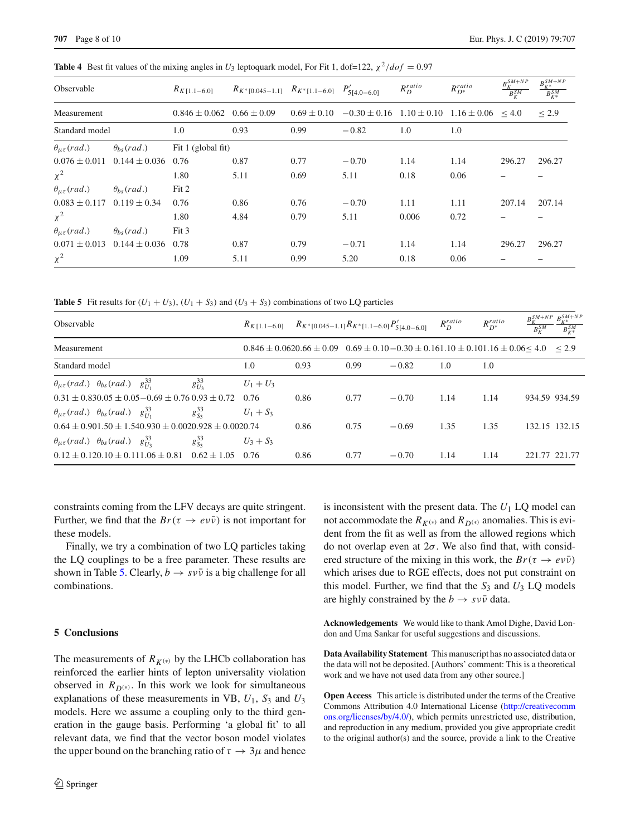| Observable                |                      | $R_{K[1.1-6.0]}$                  | $R_{K^*[0.045-1.1]}$ $R_{K^*[1.1-6.0]}$ $P'_{5[4.0-6.0]}$ |                 |                                                        | $R_D^{ratio}$ | $R_{D^\ast}^{ratio}$ | $B_K^{\mathit{SM}+\mathit{NP}}$<br>$B_K^{SM}$ | $B_{K^{\ast }}^{SM+NP}$<br>$B_{K^*}^{SM}$ |
|---------------------------|----------------------|-----------------------------------|-----------------------------------------------------------|-----------------|--------------------------------------------------------|---------------|----------------------|-----------------------------------------------|-------------------------------------------|
| Measurement               |                      | $0.846 \pm 0.062$ $0.66 \pm 0.09$ |                                                           | $0.69 \pm 0.10$ | $-0.30 \pm 0.16$ $1.10 \pm 0.10$ $1.16 \pm 0.06$ < 4.0 |               |                      |                                               | $\leq$ 2.9                                |
| Standard model            |                      | 1.0                               | 0.93                                                      | 0.99            | $-0.82$                                                | 1.0           | 1.0                  |                                               |                                           |
| $\theta_{\mu\tau}$ (rad.) | $\theta_{hs}$ (rad.) | Fit 1 (global fit)                |                                                           |                 |                                                        |               |                      |                                               |                                           |
| $0.076 \pm 0.011$         | $0.144 \pm 0.036$    | 0.76                              | 0.87                                                      | 0.77            | $-0.70$                                                | 1.14          | 1.14                 | 296.27                                        | 296.27                                    |
| $\chi^2$                  |                      | 1.80                              | 5.11                                                      | 0.69            | 5.11                                                   | 0.18          | 0.06                 |                                               |                                           |
| $\theta_{\mu\tau}$ (rad.) | $\theta_{bs}(rad.)$  | Fit 2                             |                                                           |                 |                                                        |               |                      |                                               |                                           |
| $0.083 \pm 0.117$         | $0.119 \pm 0.34$     | 0.76                              | 0.86                                                      | 0.76            | $-0.70$                                                | 1.11          | 1.11                 | 207.14                                        | 207.14                                    |
| $\chi^2$                  |                      | 1.80                              | 4.84                                                      | 0.79            | 5.11                                                   | 0.006         | 0.72                 |                                               |                                           |
| $\theta_{\mu\tau}$ (rad.) | $\theta_{hs}$ (rad.) | Fit 3                             |                                                           |                 |                                                        |               |                      |                                               |                                           |
| $0.071 \pm 0.013$         | $0.144 \pm 0.036$    | 0.78                              | 0.87                                                      | 0.79            | $-0.71$                                                | 1.14          | 1.14                 | 296.27                                        | 296.27                                    |
| $\chi^2$                  |                      | 1.09                              | 5.11                                                      | 0.99            | 5.20                                                   | 0.18          | 0.06                 |                                               |                                           |

<span id="page-7-1"></span>**Table 4** Best fit values of the mixing angles in  $U_3$  leptoquark model, For Fit 1, dof=122,  $\chi^2/dof = 0.97$ 

<span id="page-7-2"></span>**Table 5** Fit results for  $(U_1 + U_3)$ ,  $(U_1 + S_3)$  and  $(U_3 + S_3)$  combinations of two LQ particles

| Observable                                                                      |                | $R_{K[1.1-6.0]}$ $R_{K^*[0.045-1.1]}R_{K^*[1.1-6.0]}P'_{5[4.0-6.0]}$                                   |      |      |         | $R_D^{ratio}$ | $R_{D^*}^{ratio}$ | $B_K^{SM+NP}$ $B_{\nu*}^{SM+NP}$<br>$\overline{B_K^{SM}}$ | $B_{K*}^{SM}$ |
|---------------------------------------------------------------------------------|----------------|--------------------------------------------------------------------------------------------------------|------|------|---------|---------------|-------------------|-----------------------------------------------------------|---------------|
| Measurement                                                                     |                | $0.846 \pm 0.0620.66 \pm 0.09$ $0.69 \pm 0.10 - 0.30 \pm 0.161.10 \pm 0.101.16 \pm 0.06 < 4.0$ $< 2.9$ |      |      |         |               |                   |                                                           |               |
| Standard model                                                                  |                | 1.0                                                                                                    | 0.93 | 0.99 | $-0.82$ | 1.0           | 1.0               |                                                           |               |
| $\theta_{\mu\tau}$ (rad.) $\theta_{bs}$ (rad.) $g_{U_1}^{33}$                   | $g_{U_2}^{33}$ | $U_1 + U_3$                                                                                            |      |      |         |               |                   |                                                           |               |
| $0.31 \pm 0.830.05 \pm 0.05 - 0.69 \pm 0.760.93 \pm 0.72$                       |                | 0.76                                                                                                   | 0.86 | 0.77 | $-0.70$ | 1.14          | 1.14              | 934.59 934.59                                             |               |
| $\theta_{\mu\tau}$ (rad.) $\theta_{bs}$ (rad.) $g_{U_1}^{33}$                   | $g_{S_2}^{33}$ | $U_1 + S_3$                                                                                            |      |      |         |               |                   |                                                           |               |
| $0.64 \pm 0.901.50 \pm 1.540.930 \pm 0.0020.928 \pm 0.0020.74$                  |                |                                                                                                        | 0.86 | 0.75 | $-0.69$ | 1.35          | 1.35              | 132.15 132.15                                             |               |
| $\theta_{\mu\tau}$ (rad.) $\theta_{bs}$ (rad.) $g_{U_3}^{33}$<br>$g_{S_2}^{33}$ |                | $U_3 + S_3$                                                                                            |      |      |         |               |                   |                                                           |               |
| $0.12 \pm 0.120.10 \pm 0.111.06 \pm 0.81$ $0.62 \pm 1.05$                       |                | 0.76                                                                                                   | 0.86 | 0.77 | $-0.70$ | 1.14          | 1.14              | 221.77 221.77                                             |               |

constraints coming from the LFV decays are quite stringent. Further, we find that the  $Br(\tau \to e\nu\bar{\nu})$  is not important for these models.

Finally, we try a combination of two LQ particles taking the LQ couplings to be a free parameter. These results are shown in Table [5.](#page-7-2) Clearly,  $b \rightarrow s \nu \bar{\nu}$  is a big challenge for all combinations.

#### <span id="page-7-0"></span>**5 Conclusions**

The measurements of  $R_{K^{(*)}}$  by the LHCb collaboration has reinforced the earlier hints of lepton universality violation observed in  $R_{D^{(*)}}$ . In this work we look for simultaneous explanations of these measurements in VB,  $U_1$ ,  $S_3$  and  $U_3$ models. Here we assume a coupling only to the third generation in the gauge basis. Performing 'a global fit' to all relevant data, we find that the vector boson model violates the upper bound on the branching ratio of  $\tau \to 3\mu$  and hence

is inconsistent with the present data. The *U*<sup>1</sup> LQ model can not accommodate the  $R_{K^{(*)}}$  and  $R_{D^{(*)}}$  anomalies. This is evident from the fit as well as from the allowed regions which do not overlap even at  $2\sigma$ . We also find that, with considered structure of the mixing in this work, the  $Br(\tau \to e \nu \bar{\nu})$ which arises due to RGE effects, does not put constraint on this model. Further, we find that the  $S_3$  and  $U_3$  LQ models are highly constrained by the  $b \rightarrow s \nu \bar{\nu}$  data.

**Acknowledgements** We would like to thank Amol Dighe, David London and Uma Sankar for useful suggestions and discussions.

**Data Availability Statement** This manuscript has no associated data or the data will not be deposited. [Authors' comment: This is a theoretical work and we have not used data from any other source.]

**Open Access** This article is distributed under the terms of the Creative Commons Attribution 4.0 International License [\(http://creativecomm](http://creativecommons.org/licenses/by/4.0/) [ons.org/licenses/by/4.0/\)](http://creativecommons.org/licenses/by/4.0/), which permits unrestricted use, distribution, and reproduction in any medium, provided you give appropriate credit to the original author(s) and the source, provide a link to the Creative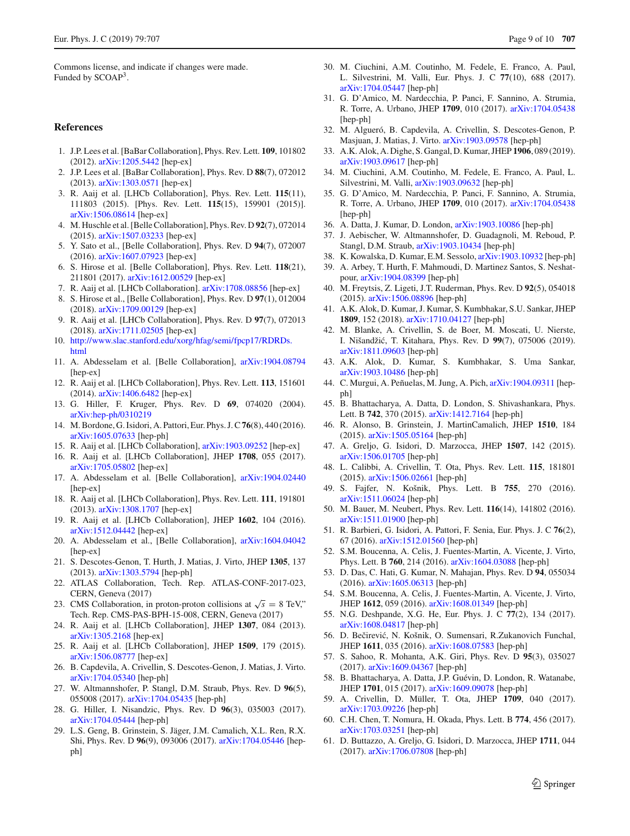Commons license, and indicate if changes were made. Funded by SCOAP<sup>3</sup>.

#### **References**

- <span id="page-8-0"></span>1. J.P. Lees et al. [BaBar Collaboration], Phys. Rev. Lett. **109**, 101802 (2012). [arXiv:1205.5442](http://arxiv.org/abs/1205.5442) [hep-ex]
- 2. J.P. Lees et al. [BaBar Collaboration], Phys. Rev. D **88**(7), 072012 (2013). [arXiv:1303.0571](http://arxiv.org/abs/1303.0571) [hep-ex]
- 3. R. Aaij et al. [LHCb Collaboration], Phys. Rev. Lett. **115**(11), 111803 (2015). [Phys. Rev. Lett. **115**(15), 159901 (2015)]. [arXiv:1506.08614](http://arxiv.org/abs/1506.08614) [hep-ex]
- 4. M. Huschle et al. [Belle Collaboration], Phys. Rev. D **92**(7), 072014 (2015). [arXiv:1507.03233](http://arxiv.org/abs/1507.03233) [hep-ex]
- 5. Y. Sato et al., [Belle Collaboration], Phys. Rev. D **94**(7), 072007 (2016). [arXiv:1607.07923](http://arxiv.org/abs/1607.07923) [hep-ex]
- 6. S. Hirose et al. [Belle Collaboration], Phys. Rev. Lett. **118**(21), 211801 (2017). [arXiv:1612.00529](http://arxiv.org/abs/1612.00529) [hep-ex]
- 7. R. Aaij et al. [LHCb Collaboration]. [arXiv:1708.08856](http://arxiv.org/abs/1708.08856) [hep-ex]
- 8. S. Hirose et al., [Belle Collaboration], Phys. Rev. D **97**(1), 012004 (2018). [arXiv:1709.00129](http://arxiv.org/abs/1709.00129) [hep-ex]
- <span id="page-8-1"></span>9. R. Aaij et al. [LHCb Collaboration], Phys. Rev. D **97**(7), 072013 (2018). [arXiv:1711.02505](http://arxiv.org/abs/1711.02505) [hep-ex]
- <span id="page-8-2"></span>10. [http://www.slac.stanford.edu/xorg/hfag/semi/fpcp17/RDRDs.](http://www.slac.stanford.edu/xorg/hfag/semi/fpcp17/RDRDs.html) [html](http://www.slac.stanford.edu/xorg/hfag/semi/fpcp17/RDRDs.html)
- <span id="page-8-3"></span>11. A. Abdesselam et al. [Belle Collaboration], [arXiv:1904.08794](http://arxiv.org/abs/1904.08794) [hep-ex]
- <span id="page-8-4"></span>12. R. Aaij et al. [LHCb Collaboration], Phys. Rev. Lett. **113**, 151601 (2014). [arXiv:1406.6482](http://arxiv.org/abs/1406.6482) [hep-ex]
- <span id="page-8-5"></span>13. G. Hiller, F. Kruger, Phys. Rev. D **69**, 074020 (2004). [arXiv:hep-ph/0310219](http://arxiv.org/abs/hep-ph/0310219)
- <span id="page-8-6"></span>14. M. Bordone, G. Isidori, A. Pattori, Eur. Phys. J. C**76**(8), 440 (2016). [arXiv:1605.07633](http://arxiv.org/abs/1605.07633) [hep-ph]
- <span id="page-8-7"></span>15. R. Aaij et al. [LHCb Collaboration], [arXiv:1903.09252](http://arxiv.org/abs/1903.09252) [hep-ex]
- <span id="page-8-8"></span>16. R. Aaij et al. [LHCb Collaboration], JHEP **1708**, 055 (2017). [arXiv:1705.05802](http://arxiv.org/abs/1705.05802) [hep-ex]
- <span id="page-8-9"></span>17. A. Abdesselam et al. [Belle Collaboration], [arXiv:1904.02440](http://arxiv.org/abs/1904.02440) [hep-ex]
- <span id="page-8-10"></span>18. R. Aaij et al. [LHCb Collaboration], Phys. Rev. Lett. **111**, 191801 (2013). [arXiv:1308.1707](http://arxiv.org/abs/1308.1707) [hep-ex]
- <span id="page-8-24"></span>19. R. Aaij et al. [LHCb Collaboration], JHEP **1602**, 104 (2016). [arXiv:1512.04442](http://arxiv.org/abs/1512.04442) [hep-ex]
- <span id="page-8-11"></span>20. A. Abdesselam et al., [Belle Collaboration], [arXiv:1604.04042](http://arxiv.org/abs/1604.04042) [hep-ex]
- <span id="page-8-12"></span>21. S. Descotes-Genon, T. Hurth, J. Matias, J. Virto, JHEP **1305**, 137 (2013). [arXiv:1303.5794](http://arxiv.org/abs/1303.5794) [hep-ph]
- <span id="page-8-13"></span>22. ATLAS Collaboration, Tech. Rep. ATLAS-CONF-2017-023, CERN, Geneva (2017)
- <span id="page-8-14"></span>23. CMS Collaboration, in proton-proton collisions at  $\sqrt{s} = 8$  TeV," Tech. Rep. CMS-PAS-BPH-15-008, CERN, Geneva (2017)
- <span id="page-8-15"></span>24. R. Aaij et al. [LHCb Collaboration], JHEP **1307**, 084 (2013). [arXiv:1305.2168](http://arxiv.org/abs/1305.2168) [hep-ex]
- <span id="page-8-16"></span>25. R. Aaij et al. [LHCb Collaboration], JHEP **1509**, 179 (2015). [arXiv:1506.08777](http://arxiv.org/abs/1506.08777) [hep-ex]
- <span id="page-8-17"></span>26. B. Capdevila, A. Crivellin, S. Descotes-Genon, J. Matias, J. Virto. [arXiv:1704.05340](http://arxiv.org/abs/1704.05340) [hep-ph]
- 27. W. Altmannshofer, P. Stangl, D.M. Straub, Phys. Rev. D **96**(5), 055008 (2017). [arXiv:1704.05435](http://arxiv.org/abs/1704.05435) [hep-ph]
- 28. G. Hiller, I. Nisandzic, Phys. Rev. D **96**(3), 035003 (2017). [arXiv:1704.05444](http://arxiv.org/abs/1704.05444) [hep-ph]
- 29. L.S. Geng, B. Grinstein, S. Jäger, J.M. Camalich, X.L. Ren, R.X. Shi, Phys. Rev. D **96**(9), 093006 (2017). [arXiv:1704.05446](http://arxiv.org/abs/1704.05446) [hepph]
- 30. M. Ciuchini, A.M. Coutinho, M. Fedele, E. Franco, A. Paul, L. Silvestrini, M. Valli, Eur. Phys. J. C **77**(10), 688 (2017). [arXiv:1704.05447](http://arxiv.org/abs/1704.05447) [hep-ph]
- 31. G. D'Amico, M. Nardecchia, P. Panci, F. Sannino, A. Strumia, R. Torre, A. Urbano, JHEP **1709**, 010 (2017). [arXiv:1704.05438](http://arxiv.org/abs/1704.05438) [hep-ph]
- 32. M. Algueró, B. Capdevila, A. Crivellin, S. Descotes-Genon, P. Masjuan, J. Matias, J. Virto. [arXiv:1903.09578](http://arxiv.org/abs/1903.09578) [hep-ph]
- 33. A.K. Alok, A. Dighe, S. Gangal, D. Kumar, JHEP **1906**, 089 (2019). [arXiv:1903.09617](http://arxiv.org/abs/1903.09617) [hep-ph]
- 34. M. Ciuchini, A.M. Coutinho, M. Fedele, E. Franco, A. Paul, L. Silvestrini, M. Valli, [arXiv:1903.09632](http://arxiv.org/abs/1903.09632) [hep-ph]
- 35. G. D'Amico, M. Nardecchia, P. Panci, F. Sannino, A. Strumia, R. Torre, A. Urbano, JHEP **1709**, 010 (2017). [arXiv:1704.05438](http://arxiv.org/abs/1704.05438) [hep-ph]
- 36. A. Datta, J. Kumar, D. London, [arXiv:1903.10086](http://arxiv.org/abs/1903.10086) [hep-ph]
- 37. J. Aebischer, W. Altmannshofer, D. Guadagnoli, M. Reboud, P. Stangl, D.M. Straub, [arXiv:1903.10434](http://arxiv.org/abs/1903.10434) [hep-ph]
- 38. K. Kowalska, D. Kumar, E.M. Sessolo, [arXiv:1903.10932](http://arxiv.org/abs/1903.10932) [hep-ph]
- <span id="page-8-18"></span>39. A. Arbey, T. Hurth, F. Mahmoudi, D. Martinez Santos, S. Neshatpour, [arXiv:1904.08399](http://arxiv.org/abs/1904.08399) [hep-ph]
- <span id="page-8-19"></span>40. M. Freytsis, Z. Ligeti, J.T. Ruderman, Phys. Rev. D **92**(5), 054018 (2015). [arXiv:1506.08896](http://arxiv.org/abs/1506.08896) [hep-ph]
- 41. A.K. Alok, D. Kumar, J. Kumar, S. Kumbhakar, S.U. Sankar, JHEP **1809**, 152 (2018). [arXiv:1710.04127](http://arxiv.org/abs/1710.04127) [hep-ph]
- 42. M. Blanke, A. Crivellin, S. de Boer, M. Moscati, U. Nierste, I. Nišandži´c, T. Kitahara, Phys. Rev. D **99**(7), 075006 (2019). [arXiv:1811.09603](http://arxiv.org/abs/1811.09603) [hep-ph]
- 43. A.K. Alok, D. Kumar, S. Kumbhakar, S. Uma Sankar, [arXiv:1903.10486](http://arxiv.org/abs/1903.10486) [hep-ph]
- <span id="page-8-20"></span>44. C. Murgui, A. Peñuelas, M. Jung, A. Pich, [arXiv:1904.09311](http://arxiv.org/abs/1904.09311) [hepph]
- <span id="page-8-21"></span>45. B. Bhattacharya, A. Datta, D. London, S. Shivashankara, Phys. Lett. B **742**, 370 (2015). [arXiv:1412.7164](http://arxiv.org/abs/1412.7164) [hep-ph]
- 46. R. Alonso, B. Grinstein, J. MartinCamalich, JHEP **1510**, 184 (2015). [arXiv:1505.05164](http://arxiv.org/abs/1505.05164) [hep-ph]
- 47. A. Greljo, G. Isidori, D. Marzocca, JHEP **1507**, 142 (2015). [arXiv:1506.01705](http://arxiv.org/abs/1506.01705) [hep-ph]
- <span id="page-8-22"></span>48. L. Calibbi, A. Crivellin, T. Ota, Phys. Rev. Lett. **115**, 181801 (2015). [arXiv:1506.02661](http://arxiv.org/abs/1506.02661) [hep-ph]
- 49. S. Fajfer, N. Košnik, Phys. Lett. B **755**, 270 (2016). [arXiv:1511.06024](http://arxiv.org/abs/1511.06024) [hep-ph]
- 50. M. Bauer, M. Neubert, Phys. Rev. Lett. **116**(14), 141802 (2016). [arXiv:1511.01900](http://arxiv.org/abs/1511.01900) [hep-ph]
- 51. R. Barbieri, G. Isidori, A. Pattori, F. Senia, Eur. Phys. J. C **76**(2), 67 (2016). [arXiv:1512.01560](http://arxiv.org/abs/1512.01560) [hep-ph]
- 52. S.M. Boucenna, A. Celis, J. Fuentes-Martin, A. Vicente, J. Virto, Phys. Lett. B **760**, 214 (2016). [arXiv:1604.03088](http://arxiv.org/abs/1604.03088) [hep-ph]
- 53. D. Das, C. Hati, G. Kumar, N. Mahajan, Phys. Rev. D **94**, 055034 (2016). [arXiv:1605.06313](http://arxiv.org/abs/1605.06313) [hep-ph]
- 54. S.M. Boucenna, A. Celis, J. Fuentes-Martin, A. Vicente, J. Virto, JHEP **1612**, 059 (2016). [arXiv:1608.01349](http://arxiv.org/abs/1608.01349) [hep-ph]
- 55. N.G. Deshpande, X.G. He, Eur. Phys. J. C **77**(2), 134 (2017). [arXiv:1608.04817](http://arxiv.org/abs/1608.04817) [hep-ph]
- 56. D. Bečirević, N. Košnik, O. Sumensari, R.Zukanovich Funchal, JHEP **1611**, 035 (2016). [arXiv:1608.07583](http://arxiv.org/abs/1608.07583) [hep-ph]
- 57. S. Sahoo, R. Mohanta, A.K. Giri, Phys. Rev. D **95**(3), 035027 (2017). [arXiv:1609.04367](http://arxiv.org/abs/1609.04367) [hep-ph]
- <span id="page-8-23"></span>58. B. Bhattacharya, A. Datta, J.P. Guévin, D. London, R. Watanabe, JHEP **1701**, 015 (2017). [arXiv:1609.09078](http://arxiv.org/abs/1609.09078) [hep-ph]
- 59. A. Crivellin, D. Müller, T. Ota, JHEP **1709**, 040 (2017). [arXiv:1703.09226](http://arxiv.org/abs/1703.09226) [hep-ph]
- 60. C.H. Chen, T. Nomura, H. Okada, Phys. Lett. B **774**, 456 (2017). [arXiv:1703.03251](http://arxiv.org/abs/1703.03251) [hep-ph]
- 61. D. Buttazzo, A. Greljo, G. Isidori, D. Marzocca, JHEP **1711**, 044 (2017). [arXiv:1706.07808](http://arxiv.org/abs/1706.07808) [hep-ph]